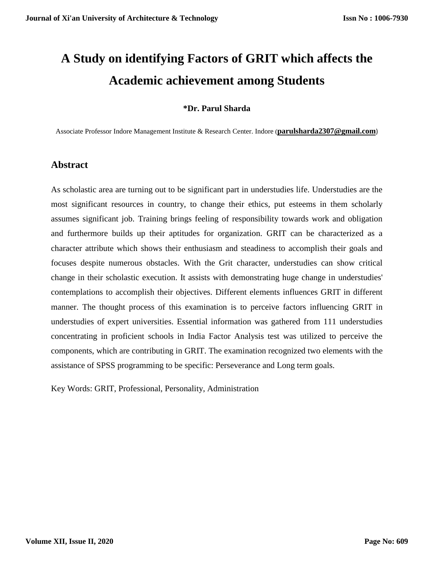# **A Study on identifying Factors of GRIT which affects the Academic achievement among Students**

## **\*Dr. Parul Sharda**

Associate Professor Indore Management Institute & Research Center. Indore (**[parulsharda2307@gmail.com](mailto:parulsharda2307@gmail.com)**)

# **Abstract**

As scholastic area are turning out to be significant part in understudies life. Understudies are the most significant resources in country, to change their ethics, put esteems in them scholarly assumes significant job. Training brings feeling of responsibility towards work and obligation and furthermore builds up their aptitudes for organization. GRIT can be characterized as a character attribute which shows their enthusiasm and steadiness to accomplish their goals and focuses despite numerous obstacles. With the Grit character, understudies can show critical change in their scholastic execution. It assists with demonstrating huge change in understudies' contemplations to accomplish their objectives. Different elements influences GRIT in different manner. The thought process of this examination is to perceive factors influencing GRIT in understudies of expert universities. Essential information was gathered from 111 understudies concentrating in proficient schools in India Factor Analysis test was utilized to perceive the components, which are contributing in GRIT. The examination recognized two elements with the assistance of SPSS programming to be specific: Perseverance and Long term goals.

Key Words: GRIT, Professional, Personality, Administration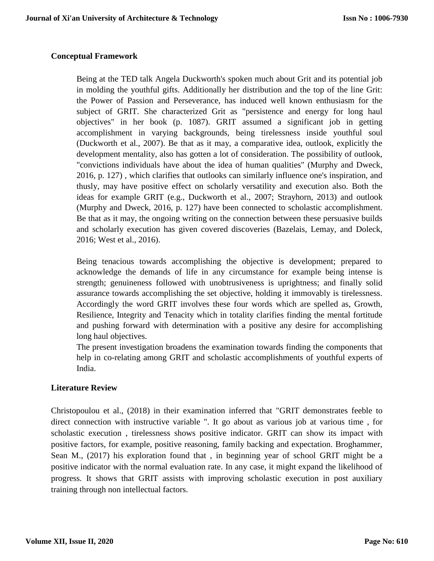## **Conceptual Framework**

Being at the TED talk Angela Duckworth's spoken much about Grit and its potential job in molding the youthful gifts. Additionally her distribution and the top of the line Grit: the Power of Passion and Perseverance, has induced well known enthusiasm for the subject of GRIT. She characterized Grit as "persistence and energy for long haul objectives" in her book (p. 1087). GRIT assumed a significant job in getting accomplishment in varying backgrounds, being tirelessness inside youthful soul (Duckworth et al., 2007). Be that as it may, a comparative idea, outlook, explicitly the development mentality, also has gotten a lot of consideration. The possibility of outlook, "convictions individuals have about the idea of human qualities" (Murphy and Dweck, 2016, p. 127) , which clarifies that outlooks can similarly influence one's inspiration, and thusly, may have positive effect on scholarly versatility and execution also. Both the ideas for example GRIT (e.g., Duckworth et al., 2007; Strayhorn, 2013) and outlook (Murphy and Dweck, 2016, p. 127) have been connected to scholastic accomplishment. Be that as it may, the ongoing writing on the connection between these persuasive builds and scholarly execution has given covered discoveries (Bazelais, Lemay, and Doleck, 2016; West et al., 2016).

Being tenacious towards accomplishing the objective is development; prepared to acknowledge the demands of life in any circumstance for example being intense is strength; genuineness followed with unobtrusiveness is uprightness; and finally solid assurance towards accomplishing the set objective, holding it immovably is tirelessness. Accordingly the word GRIT involves these four words which are spelled as, Growth, Resilience, Integrity and Tenacity which in totality clarifies finding the mental fortitude and pushing forward with determination with a positive any desire for accomplishing long haul objectives.

The present investigation broadens the examination towards finding the components that help in co-relating among GRIT and scholastic accomplishments of youthful experts of India.

## **Literature Review**

Christopoulou et al., (2018) in their examination inferred that "GRIT demonstrates feeble to direct connection with instructive variable ". It go about as various job at various time , for scholastic execution , tirelessness shows positive indicator. GRIT can show its impact with positive factors, for example, positive reasoning, family backing and expectation. Broghammer, Sean M., (2017) his exploration found that , in beginning year of school GRIT might be a positive indicator with the normal evaluation rate. In any case, it might expand the likelihood of progress. It shows that GRIT assists with improving scholastic execution in post auxiliary training through non intellectual factors.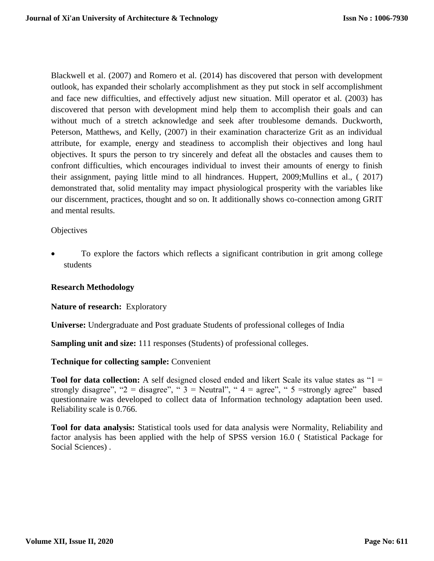Blackwell et al. (2007) and Romero et al. (2014) has discovered that person with development outlook, has expanded their scholarly accomplishment as they put stock in self accomplishment and face new difficulties, and effectively adjust new situation. Mill operator et al. (2003) has discovered that person with development mind help them to accomplish their goals and can without much of a stretch acknowledge and seek after troublesome demands. Duckworth, Peterson, Matthews, and Kelly, (2007) in their examination characterize Grit as an individual attribute, for example, energy and steadiness to accomplish their objectives and long haul objectives. It spurs the person to try sincerely and defeat all the obstacles and causes them to confront difficulties, which encourages individual to invest their amounts of energy to finish their assignment, paying little mind to all hindrances. Huppert, 2009;Mullins et al., ( 2017) demonstrated that, solid mentality may impact physiological prosperity with the variables like our discernment, practices, thought and so on. It additionally shows co-connection among GRIT and mental results.

#### **Objectives**

 To explore the factors which reflects a significant contribution in grit among college students

#### **Research Methodology**

#### **Nature of research:** Exploratory

**Universe:** Undergraduate and Post graduate Students of professional colleges of India

**Sampling unit and size:** 111 responses (Students) of professional colleges.

#### **Technique for collecting sample:** Convenient

**Tool for data collection:** A self designed closed ended and likert Scale its value states as "1 = strongly disagree", "2 = disagree", " $3$  = Neutral", "4 = agree", "5 = strongly agree" based questionnaire was developed to collect data of Information technology adaptation been used. Reliability scale is 0.766.

**Tool for data analysis:** Statistical tools used for data analysis were Normality, Reliability and factor analysis has been applied with the help of SPSS version 16.0 ( Statistical Package for Social Sciences) .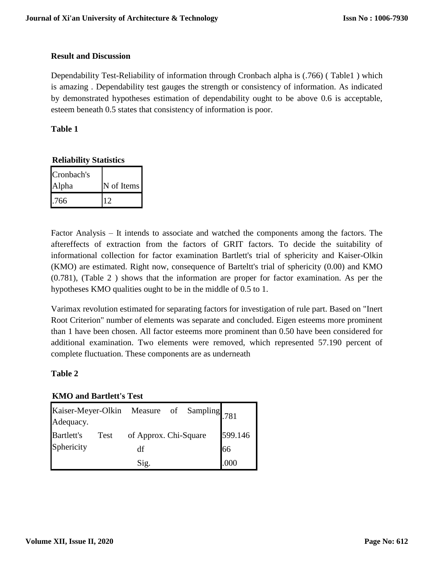#### **Result and Discussion**

Dependability Test-Reliability of information through Cronbach alpha is (.766) ( Table1 ) which is amazing . Dependability test gauges the strength or consistency of information. As indicated by demonstrated hypotheses estimation of dependability ought to be above 0.6 is acceptable, esteem beneath 0.5 states that consistency of information is poor.

## **Table 1**

## **Reliability Statistics**

| Cronbach's |            |
|------------|------------|
| Alpha      | N of Items |
| .766       |            |

Factor Analysis – It intends to associate and watched the components among the factors. The aftereffects of extraction from the factors of GRIT factors. To decide the suitability of informational collection for factor examination Bartlett's trial of sphericity and Kaiser-Olkin (KMO) are estimated. Right now, consequence of Barteltt's trial of sphericity (0.00) and KMO (0.781), (Table 2 ) shows that the information are proper for factor examination. As per the hypotheses KMO qualities ought to be in the middle of 0.5 to 1.

Varimax revolution estimated for separating factors for investigation of rule part. Based on "Inert Root Criterion" number of elements was separate and concluded. Eigen esteems more prominent than 1 have been chosen. All factor esteems more prominent than 0.50 have been considered for additional examination. Two elements were removed, which represented 57.190 percent of complete fluctuation. These components are as underneath

## **Table 2**

## **KMO and Bartlett's Test**

|                   |      | Kaiser-Meyer-Olkin Measure of Sampling 781 |  |         |
|-------------------|------|--------------------------------------------|--|---------|
| Adequacy.         |      |                                            |  |         |
| <b>Bartlett's</b> | Test | of Approx. Chi-Square                      |  | 599.146 |
| Sphericity        |      | df                                         |  | 66      |
|                   |      | Sig.                                       |  | .000    |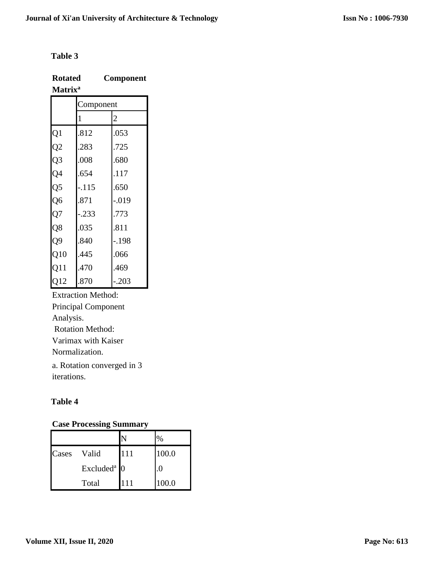## **Table 3**

| <b>Rotated</b>      | <b>Component</b> |
|---------------------|------------------|
| Matrix <sup>a</sup> |                  |

|                 | Component |                |  |  |
|-----------------|-----------|----------------|--|--|
|                 | 1         | $\overline{c}$ |  |  |
| $\overline{Q}1$ | .812      | .053           |  |  |
| $\overline{Q2}$ | .283      | .725           |  |  |
| Q <sub>3</sub>  | .008      | .680           |  |  |
| Q4              | .654      | 117            |  |  |
| Q5              | $-115$    | .650           |  |  |
| Q <sub>6</sub>  | .871      | $-0.019$       |  |  |
| Q7              | .233      | .773           |  |  |
| Q8              | .035      | .811           |  |  |
| Q <sub>9</sub>  | .840      | .198           |  |  |
| Q10             | .445      | .066           |  |  |
| Q11             | 470       | 469            |  |  |
| Q12             | .870      | .203           |  |  |

Extraction Method: Principal Component Analysis. Rotation Method: Varimax with Kaiser Normalization. a. Rotation converged in 3

iterations.

# **Table 4**

# **Case Processing Summary**

|       |                         |     | $\%$     |
|-------|-------------------------|-----|----------|
| Cases | Valid                   | 111 | 100.0    |
|       | Excluded <sup>a</sup> 0 |     | $\Omega$ |
|       | Total                   | 111 | 100.0    |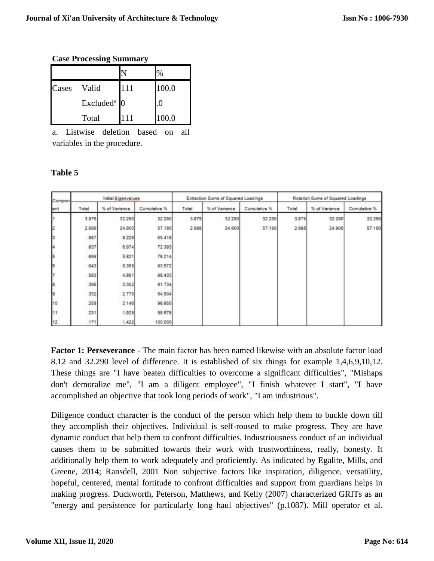#### **Case Processing Summary**

|       |                         |     | ℅     |
|-------|-------------------------|-----|-------|
| Cases | Valid                   | 111 | 100.0 |
|       | Excluded <sup>a</sup> 0 |     |       |
|       | Total                   | 111 | 100.0 |

a. Listwise deletion based on all variables in the procedure.

#### **Table 5**

| Compon.<br>ent                    | Initial Eigenvalues |               | Extraction Sums of Squared Loadings |       |               | Rotation Sums of Squared Loadings |       |               |              |
|-----------------------------------|---------------------|---------------|-------------------------------------|-------|---------------|-----------------------------------|-------|---------------|--------------|
|                                   | Total               | % of Variance | Cumulative %                        | Total | % of Variance | Cumulative %                      | Total | % of Variance | Cumulative % |
|                                   | 3.875               | 32.290        | 32:290                              | 3.875 | 32.290        | 32.290                            | 3.875 | 32.290        | 32.290       |
| þ                                 | 2988                | 24.900        | 57.190                              | 2.988 | 24.900        | 57.190                            | 2.988 | 24.900        | 57.190       |
|                                   | 987                 | 8.229         | 65.418                              |       |               |                                   |       |               |              |
|                                   | 837                 | 6.974         | 72.393                              |       |               |                                   |       |               |              |
| $\frac{1}{2}$ or $\frac{1}{2}$ or | .699                | 5.821         | 78.214                              |       |               |                                   |       |               |              |
|                                   | 643                 | 5.358         | 83.572                              |       |               |                                   |       |               |              |
|                                   | 583                 | 4.861         | 88.433                              |       |               |                                   |       |               |              |
| 7<br>8                            | 396                 | 3.302         | 91.734                              |       |               |                                   |       |               |              |
| þ                                 | 332                 | 2.770         | 94.504                              |       |               |                                   |       |               |              |
| 10                                | 258                 | 2.146         | 96.650                              |       |               |                                   |       |               |              |
| 11                                | 231                 | 1.928         | 98.57B                              |       |               |                                   |       |               |              |
| 12                                | .171                | 1.422         | 100.000                             |       |               |                                   |       |               |              |

**Factor 1: Perseverance** - The main factor has been named likewise with an absolute factor load 8.12 and 32.290 level of difference. It is established of six things for example 1,4,6,9,10,12. These things are "I have beaten difficulties to overcome a significant difficulties", "Mishaps don't demoralize me", "I am a diligent employee", "I finish whatever I start", "I have accomplished an objective that took long periods of work", "I am industrious".

Diligence conduct character is the conduct of the person which help them to buckle down till they accomplish their objectives. Individual is self-roused to make progress. They are have dynamic conduct that help them to confront difficulties. Industriousness conduct of an individual causes them to be submitted towards their work with trustworthiness, really, honesty. It additionally help them to work adequately and proficiently. As indicated by Egalite, Mills, and Greene, 2014; Ransdell, 2001 Non subjective factors like inspiration, diligence, versatility, hopeful, centered, mental fortitude to confront difficulties and support from guardians helps in making progress. Duckworth, Peterson, Matthews, and Kelly (2007) characterized GRITs as an "energy and persistence for particularly long haul objectives" (p.1087). Mill operator et al.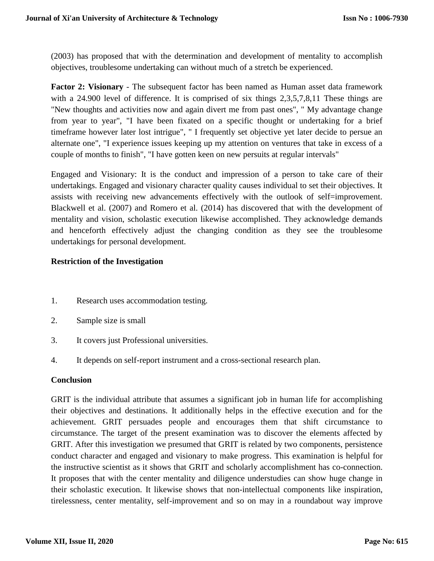(2003) has proposed that with the determination and development of mentality to accomplish objectives, troublesome undertaking can without much of a stretch be experienced.

**Factor 2: Visionary** - The subsequent factor has been named as Human asset data framework with a 24.900 level of difference. It is comprised of six things 2,3,5,7,8,11 These things are "New thoughts and activities now and again divert me from past ones", " My advantage change from year to year", "I have been fixated on a specific thought or undertaking for a brief timeframe however later lost intrigue", " I frequently set objective yet later decide to persue an alternate one", "I experience issues keeping up my attention on ventures that take in excess of a couple of months to finish", "I have gotten keen on new persuits at regular intervals"

Engaged and Visionary: It is the conduct and impression of a person to take care of their undertakings. Engaged and visionary character quality causes individual to set their objectives. It assists with receiving new advancements effectively with the outlook of self=improvement. Blackwell et al. (2007) and Romero et al. (2014) has discovered that with the development of mentality and vision, scholastic execution likewise accomplished. They acknowledge demands and henceforth effectively adjust the changing condition as they see the troublesome undertakings for personal development.

## **Restriction of the Investigation**

- 1. Research uses accommodation testing.
- 2. Sample size is small
- 3. It covers just Professional universities.
- 4. It depends on self-report instrument and a cross-sectional research plan.

#### **Conclusion**

GRIT is the individual attribute that assumes a significant job in human life for accomplishing their objectives and destinations. It additionally helps in the effective execution and for the achievement. GRIT persuades people and encourages them that shift circumstance to circumstance. The target of the present examination was to discover the elements affected by GRIT. After this investigation we presumed that GRIT is related by two components, persistence conduct character and engaged and visionary to make progress. This examination is helpful for the instructive scientist as it shows that GRIT and scholarly accomplishment has co-connection. It proposes that with the center mentality and diligence understudies can show huge change in their scholastic execution. It likewise shows that non-intellectual components like inspiration, tirelessness, center mentality, self-improvement and so on may in a roundabout way improve